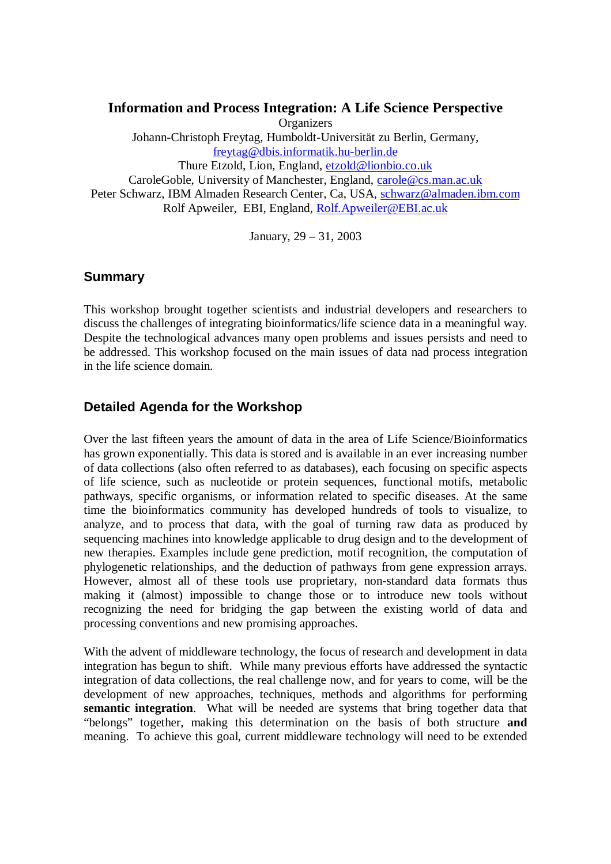**Information and Process Integration: A Life Science Perspective Organizers** Johann-Christoph Freytag, Humboldt-Universität zu Berlin, Germany, freytag@dbis.informatik.hu-berlin.de Thure Etzold, Lion, England, etzold@lionbio.co.uk CaroleGoble, University of Manchester, England, carole@cs.man.ac.uk Peter Schwarz, IBM Almaden Research Center, Ca, USA, schwarz@almaden.ibm.com Rolf Apweiler, EBI, England, Rolf.Apweiler@EBI.ac.uk

January, 29 – 31, 2003

#### **Summary**

This workshop brought together scientists and industrial developers and researchers to discuss the challenges of integrating bioinformatics/life science data in a meaningful way. Despite the technological advances many open problems and issues persists and need to be addressed. This workshop focused on the main issues of data nad process integration in the life science domain.

#### **Detailed Agenda for the Workshop**

Over the last fifteen years the amount of data in the area of Life Science/Bioinformatics has grown exponentially. This data is stored and is available in an ever increasing number of data collections (also often referred to as databases), each focusing on specific aspects of life science, such as nucleotide or protein sequences, functional motifs, metabolic pathways, specific organisms, or information related to specific diseases. At the same time the bioinformatics community has developed hundreds of tools to visualize, to analyze, and to process that data, with the goal of turning raw data as produced by sequencing machines into knowledge applicable to drug design and to the development of new therapies. Examples include gene prediction, motif recognition, the computation of phylogenetic relationships, and the deduction of pathways from gene expression arrays. However, almost all of these tools use proprietary, non-standard data formats thus making it (almost) impossible to change those or to introduce new tools without recognizing the need for bridging the gap between the existing world of data and processing conventions and new promising approaches.

With the advent of middleware technology, the focus of research and development in data integration has begun to shift. While many previous efforts have addressed the syntactic integration of data collections, the real challenge now, and for years to come, will be the development of new approaches, techniques, methods and algorithms for performing **semantic integration**. What will be needed are systems that bring together data that "belongs" together, making this determination on the basis of both structure **and** meaning. To achieve this goal, current middleware technology will need to be extended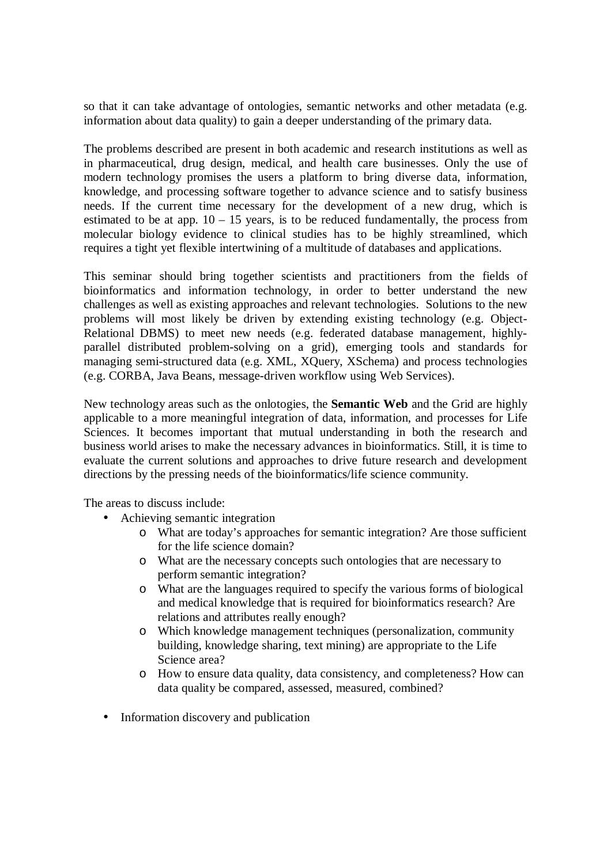so that it can take advantage of ontologies, semantic networks and other metadata (e.g. information about data quality) to gain a deeper understanding of the primary data.

The problems described are present in both academic and research institutions as well as in pharmaceutical, drug design, medical, and health care businesses. Only the use of modern technology promises the users a platform to bring diverse data, information, knowledge, and processing software together to advance science and to satisfy business needs. If the current time necessary for the development of a new drug, which is estimated to be at app.  $10 - 15$  years, is to be reduced fundamentally, the process from molecular biology evidence to clinical studies has to be highly streamlined, which requires a tight yet flexible intertwining of a multitude of databases and applications.

This seminar should bring together scientists and practitioners from the fields of bioinformatics and information technology, in order to better understand the new challenges as well as existing approaches and relevant technologies. Solutions to the new problems will most likely be driven by extending existing technology (e.g. Object-Relational DBMS) to meet new needs (e.g. federated database management, highlyparallel distributed problem-solving on a grid), emerging tools and standards for managing semi-structured data (e.g. XML, XQuery, XSchema) and process technologies (e.g. CORBA, Java Beans, message-driven workflow using Web Services).

New technology areas such as the onlotogies, the **Semantic Web** and the Grid are highly applicable to a more meaningful integration of data, information, and processes for Life Sciences. It becomes important that mutual understanding in both the research and business world arises to make the necessary advances in bioinformatics. Still, it is time to evaluate the current solutions and approaches to drive future research and development directions by the pressing needs of the bioinformatics/life science community.

The areas to discuss include:

- Achieving semantic integration
	- o What are today's approaches for semantic integration? Are those sufficient for the life science domain?
	- o What are the necessary concepts such ontologies that are necessary to perform semantic integration?
	- o What are the languages required to specify the various forms of biological and medical knowledge that is required for bioinformatics research? Are relations and attributes really enough?
	- o Which knowledge management techniques (personalization, community building, knowledge sharing, text mining) are appropriate to the Life Science area?
	- o How to ensure data quality, data consistency, and completeness? How can data quality be compared, assessed, measured, combined?
- Information discovery and publication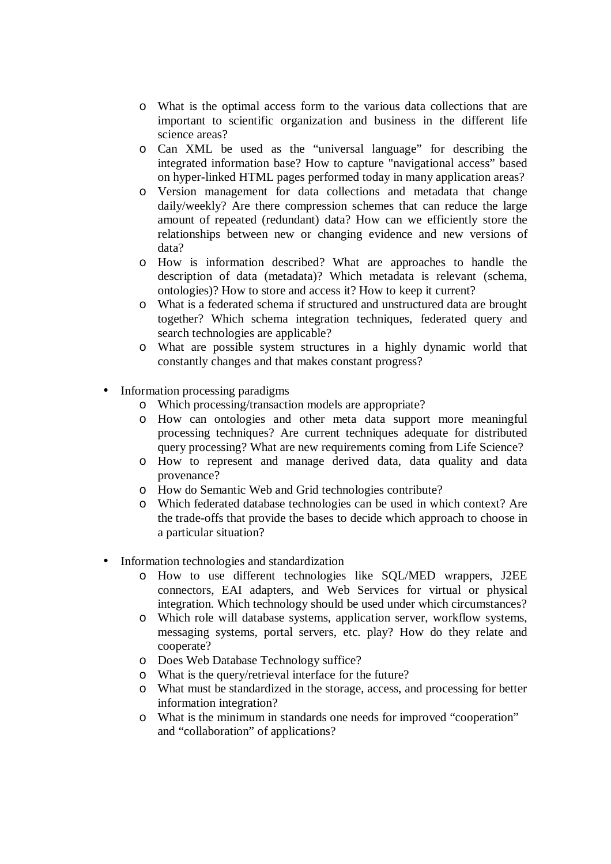- o What is the optimal access form to the various data collections that are important to scientific organization and business in the different life science areas?
- o Can XML be used as the "universal language" for describing the integrated information base? How to capture "navigational access" based on hyper-linked HTML pages performed today in many application areas?
- o Version management for data collections and metadata that change daily/weekly? Are there compression schemes that can reduce the large amount of repeated (redundant) data? How can we efficiently store the relationships between new or changing evidence and new versions of data?
- o How is information described? What are approaches to handle the description of data (metadata)? Which metadata is relevant (schema, ontologies)? How to store and access it? How to keep it current?
- o What is a federated schema if structured and unstructured data are brought together? Which schema integration techniques, federated query and search technologies are applicable?
- o What are possible system structures in a highly dynamic world that constantly changes and that makes constant progress?
- Information processing paradigms
	- o Which processing/transaction models are appropriate?
	- o How can ontologies and other meta data support more meaningful processing techniques? Are current techniques adequate for distributed query processing? What are new requirements coming from Life Science?
	- o How to represent and manage derived data, data quality and data provenance?
	- o How do Semantic Web and Grid technologies contribute?
	- o Which federated database technologies can be used in which context? Are the trade-offs that provide the bases to decide which approach to choose in a particular situation?
- Information technologies and standardization
	- o How to use different technologies like SQL/MED wrappers, J2EE connectors, EAI adapters, and Web Services for virtual or physical integration. Which technology should be used under which circumstances?
	- o Which role will database systems, application server, workflow systems, messaging systems, portal servers, etc. play? How do they relate and cooperate?
	- o Does Web Database Technology suffice?
	- o What is the query/retrieval interface for the future?
	- o What must be standardized in the storage, access, and processing for better information integration?
	- o What is the minimum in standards one needs for improved "cooperation" and "collaboration" of applications?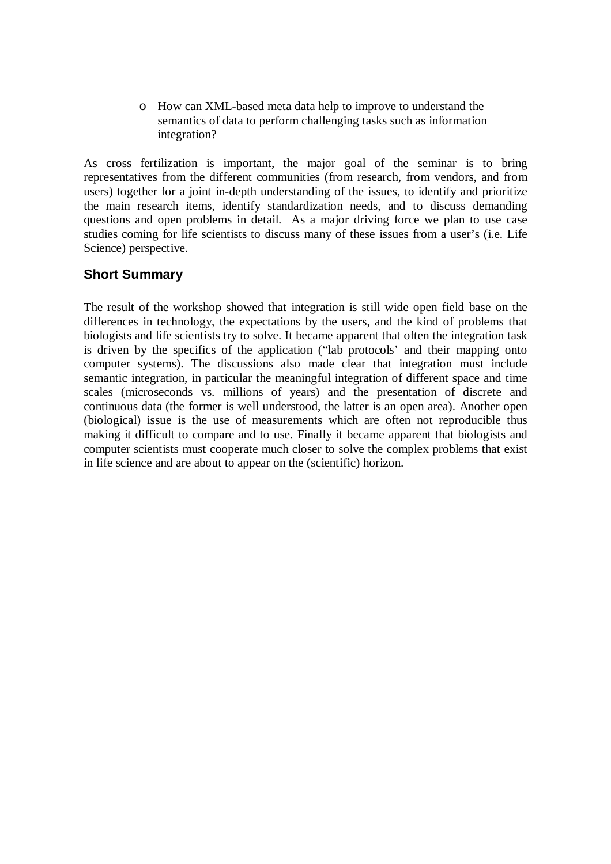o How can XML-based meta data help to improve to understand the semantics of data to perform challenging tasks such as information integration?

As cross fertilization is important, the major goal of the seminar is to bring representatives from the different communities (from research, from vendors, and from users) together for a joint in-depth understanding of the issues, to identify and prioritize the main research items, identify standardization needs, and to discuss demanding questions and open problems in detail. As a major driving force we plan to use case studies coming for life scientists to discuss many of these issues from a user's (i.e. Life Science) perspective.

# **Short Summary**

The result of the workshop showed that integration is still wide open field base on the differences in technology, the expectations by the users, and the kind of problems that biologists and life scientists try to solve. It became apparent that often the integration task is driven by the specifics of the application ("lab protocols' and their mapping onto computer systems). The discussions also made clear that integration must include semantic integration, in particular the meaningful integration of different space and time scales (microseconds vs. millions of years) and the presentation of discrete and continuous data (the former is well understood, the latter is an open area). Another open (biological) issue is the use of measurements which are often not reproducible thus making it difficult to compare and to use. Finally it became apparent that biologists and computer scientists must cooperate much closer to solve the complex problems that exist in life science and are about to appear on the (scientific) horizon.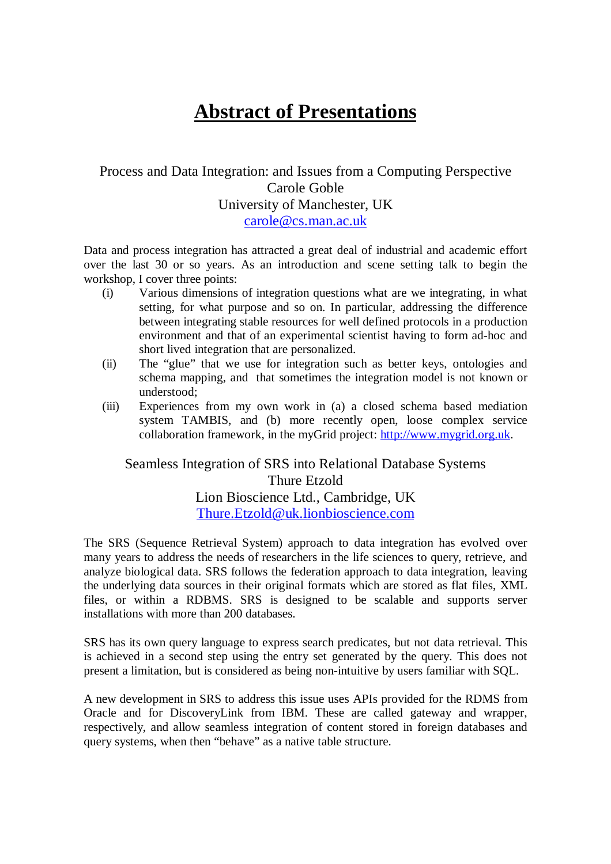# **Abstract of Presentations**

# Process and Data Integration: and Issues from a Computing Perspective Carole Goble University of Manchester, UK carole@cs.man.ac.uk

Data and process integration has attracted a great deal of industrial and academic effort over the last 30 or so years. As an introduction and scene setting talk to begin the workshop, I cover three points:

- (i) Various dimensions of integration questions what are we integrating, in what setting, for what purpose and so on. In particular, addressing the difference between integrating stable resources for well defined protocols in a production environment and that of an experimental scientist having to form ad-hoc and short lived integration that are personalized.
- (ii) The "glue" that we use for integration such as better keys, ontologies and schema mapping, and that sometimes the integration model is not known or understood;
- (iii) Experiences from my own work in (a) a closed schema based mediation system TAMBIS, and (b) more recently open, loose complex service collaboration framework, in the myGrid project: http://www.mygrid.org.uk.

# Seamless Integration of SRS into Relational Database Systems Thure Etzold Lion Bioscience Ltd., Cambridge, UK Thure.Etzold@uk.lionbioscience.com

The SRS (Sequence Retrieval System) approach to data integration has evolved over many years to address the needs of researchers in the life sciences to query, retrieve, and analyze biological data. SRS follows the federation approach to data integration, leaving the underlying data sources in their original formats which are stored as flat files, XML files, or within a RDBMS. SRS is designed to be scalable and supports server installations with more than 200 databases.

SRS has its own query language to express search predicates, but not data retrieval. This is achieved in a second step using the entry set generated by the query. This does not present a limitation, but is considered as being non-intuitive by users familiar with SQL.

A new development in SRS to address this issue uses APIs provided for the RDMS from Oracle and for DiscoveryLink from IBM. These are called gateway and wrapper, respectively, and allow seamless integration of content stored in foreign databases and query systems, when then "behave" as a native table structure.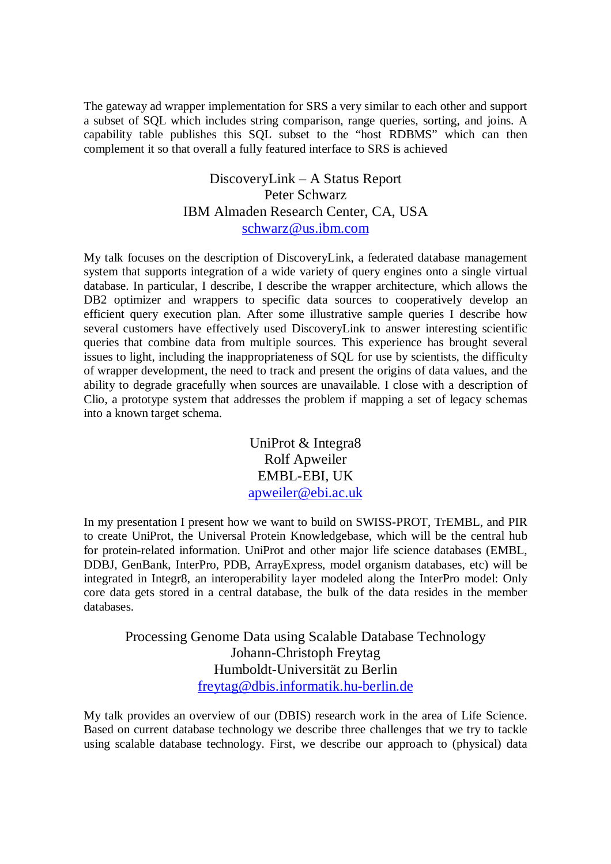The gateway ad wrapper implementation for SRS a very similar to each other and support a subset of SQL which includes string comparison, range queries, sorting, and joins. A capability table publishes this SQL subset to the "host RDBMS" which can then complement it so that overall a fully featured interface to SRS is achieved

> DiscoveryLink – A Status Report Peter Schwarz IBM Almaden Research Center, CA, USA schwarz@us.ibm.com

My talk focuses on the description of DiscoveryLink, a federated database management system that supports integration of a wide variety of query engines onto a single virtual database. In particular, I describe, I describe the wrapper architecture, which allows the DB2 optimizer and wrappers to specific data sources to cooperatively develop an efficient query execution plan. After some illustrative sample queries I describe how several customers have effectively used DiscoveryLink to answer interesting scientific queries that combine data from multiple sources. This experience has brought several issues to light, including the inappropriateness of SQL for use by scientists, the difficulty of wrapper development, the need to track and present the origins of data values, and the ability to degrade gracefully when sources are unavailable. I close with a description of Clio, a prototype system that addresses the problem if mapping a set of legacy schemas into a known target schema.

> UniProt & Integra8 Rolf Apweiler EMBL-EBI, UK apweiler@ebi.ac.uk

In my presentation I present how we want to build on SWISS-PROT, TrEMBL, and PIR to create UniProt, the Universal Protein Knowledgebase, which will be the central hub for protein-related information. UniProt and other major life science databases (EMBL, DDBJ, GenBank, InterPro, PDB, ArrayExpress, model organism databases, etc) will be integrated in Integr8, an interoperability layer modeled along the InterPro model: Only core data gets stored in a central database, the bulk of the data resides in the member databases.

Processing Genome Data using Scalable Database Technology Johann-Christoph Freytag Humboldt-Universität zu Berlin freytag@dbis.informatik.hu-berlin.de

My talk provides an overview of our (DBIS) research work in the area of Life Science. Based on current database technology we describe three challenges that we try to tackle using scalable database technology. First, we describe our approach to (physical) data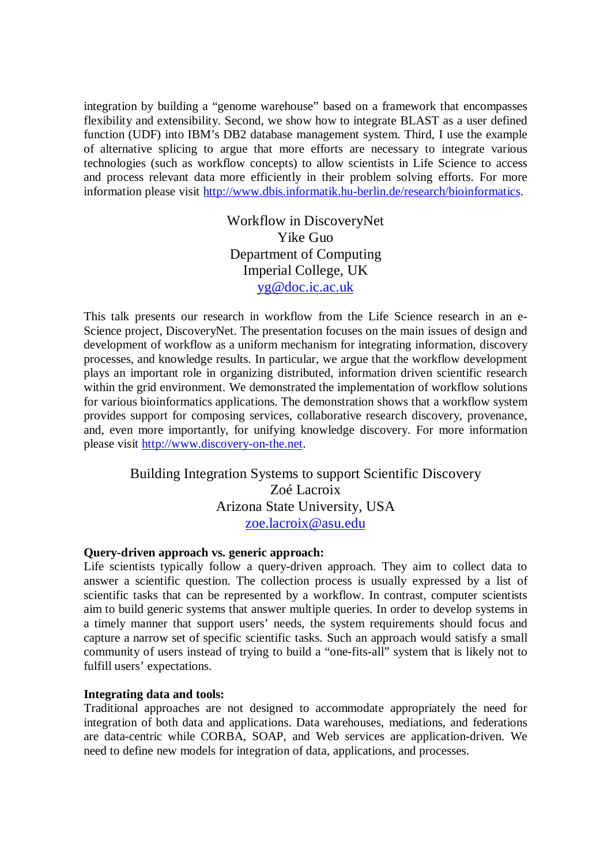integration by building a "genome warehouse" based on a framework that encompasses flexibility and extensibility. Second, we show how to integrate BLAST as a user defined function (UDF) into IBM's DB2 database management system. Third, I use the example of alternative splicing to argue that more efforts are necessary to integrate various technologies (such as workflow concepts) to allow scientists in Life Science to access and process relevant data more efficiently in their problem solving efforts. For more information please visit http://www.dbis.informatik.hu-berlin.de/research/bioinformatics.

> Workflow in DiscoveryNet Yike Guo Department of Computing Imperial College, UK yg@doc.ic.ac.uk

This talk presents our research in workflow from the Life Science research in an e-Science project, DiscoveryNet. The presentation focuses on the main issues of design and development of workflow as a uniform mechanism for integrating information, discovery processes, and knowledge results. In particular, we argue that the workflow development plays an important role in organizing distributed, information driven scientific research within the grid environment. We demonstrated the implementation of workflow solutions for various bioinformatics applications. The demonstration shows that a workflow system provides support for composing services, collaborative research discovery, provenance, and, even more importantly, for unifying knowledge discovery. For more information please visit http://www.discovery-on-the.net.

## Building Integration Systems to support Scientific Discovery Zoé Lacroix Arizona State University, USA zoe.lacroix@asu.edu

#### **Query-driven approach vs. generic approach:**

Life scientists typically follow a query-driven approach. They aim to collect data to answer a scientific question. The collection process is usually expressed by a list of scientific tasks that can be represented by a workflow. In contrast, computer scientists aim to build generic systems that answer multiple queries. In order to develop systems in a timely manner that support users' needs, the system requirements should focus and capture a narrow set of specific scientific tasks. Such an approach would satisfy a small community of users instead of trying to build a "one-fits-all" system that is likely not to fulfill users' expectations.

#### **Integrating data and tools:**

Traditional approaches are not designed to accommodate appropriately the need for integration of both data and applications. Data warehouses, mediations, and federations are data-centric while CORBA, SOAP, and Web services are application-driven. We need to define new models for integration of data, applications, and processes.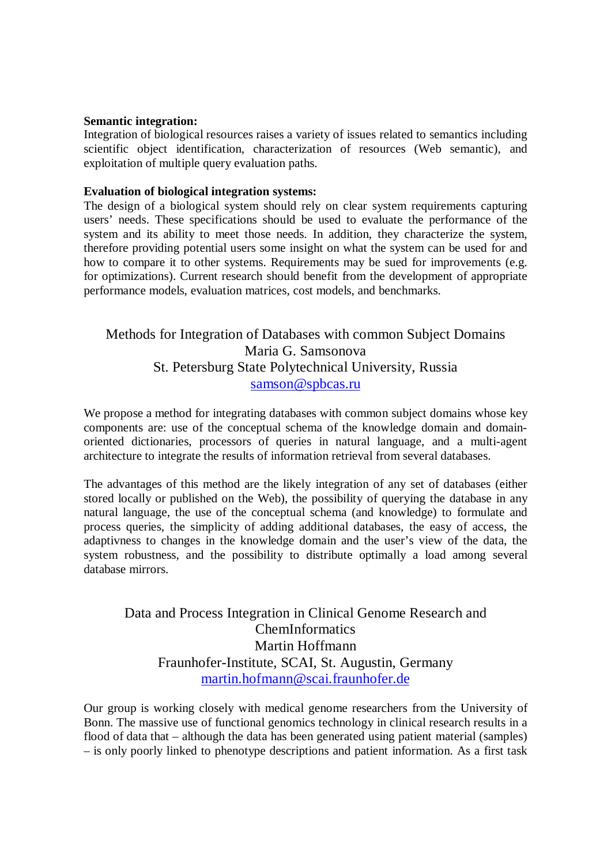#### **Semantic integration:**

Integration of biological resources raises a variety of issues related to semantics including scientific object identification, characterization of resources (Web semantic), and exploitation of multiple query evaluation paths.

#### **Evaluation of biological integration systems:**

The design of a biological system should rely on clear system requirements capturing users' needs. These specifications should be used to evaluate the performance of the system and its ability to meet those needs. In addition, they characterize the system, therefore providing potential users some insight on what the system can be used for and how to compare it to other systems. Requirements may be sued for improvements (e.g. for optimizations). Current research should benefit from the development of appropriate performance models, evaluation matrices, cost models, and benchmarks.

# Methods for Integration of Databases with common Subject Domains Maria G. Samsonova St. Petersburg State Polytechnical University, Russia samson@spbcas.ru

We propose a method for integrating databases with common subject domains whose key components are: use of the conceptual schema of the knowledge domain and domainoriented dictionaries, processors of queries in natural language, and a multi-agent architecture to integrate the results of information retrieval from several databases.

The advantages of this method are the likely integration of any set of databases (either stored locally or published on the Web), the possibility of querying the database in any natural language, the use of the conceptual schema (and knowledge) to formulate and process queries, the simplicity of adding additional databases, the easy of access, the adaptivness to changes in the knowledge domain and the user's view of the data, the system robustness, and the possibility to distribute optimally a load among several database mirrors.

# Data and Process Integration in Clinical Genome Research and ChemInformatics Martin Hoffmann Fraunhofer-Institute, SCAI, St. Augustin, Germany martin.hofmann@scai.fraunhofer.de

Our group is working closely with medical genome researchers from the University of Bonn. The massive use of functional genomics technology in clinical research results in a flood of data that – although the data has been generated using patient material (samples) – is only poorly linked to phenotype descriptions and patient information. As a first task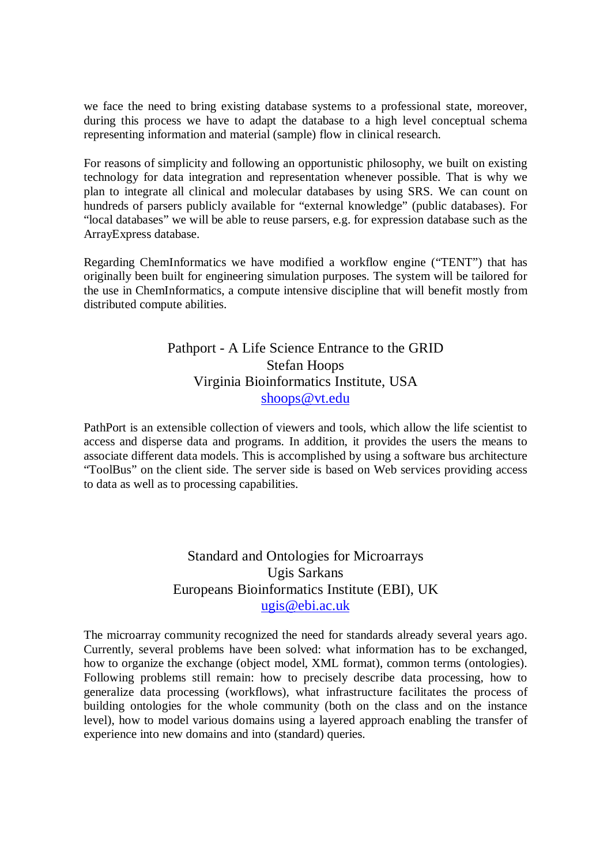we face the need to bring existing database systems to a professional state, moreover, during this process we have to adapt the database to a high level conceptual schema representing information and material (sample) flow in clinical research.

For reasons of simplicity and following an opportunistic philosophy, we built on existing technology for data integration and representation whenever possible. That is why we plan to integrate all clinical and molecular databases by using SRS. We can count on hundreds of parsers publicly available for "external knowledge" (public databases). For "local databases" we will be able to reuse parsers, e.g. for expression database such as the ArrayExpress database.

Regarding ChemInformatics we have modified a workflow engine ("TENT") that has originally been built for engineering simulation purposes. The system will be tailored for the use in ChemInformatics, a compute intensive discipline that will benefit mostly from distributed compute abilities.

## Pathport - A Life Science Entrance to the GRID Stefan Hoops Virginia Bioinformatics Institute, USA shoops@vt.edu

PathPort is an extensible collection of viewers and tools, which allow the life scientist to access and disperse data and programs. In addition, it provides the users the means to associate different data models. This is accomplished by using a software bus architecture "ToolBus" on the client side. The server side is based on Web services providing access to data as well as to processing capabilities.

# Standard and Ontologies for Microarrays Ugis Sarkans Europeans Bioinformatics Institute (EBI), UK ugis@ebi.ac.uk

The microarray community recognized the need for standards already several years ago. Currently, several problems have been solved: what information has to be exchanged, how to organize the exchange (object model, XML format), common terms (ontologies). Following problems still remain: how to precisely describe data processing, how to generalize data processing (workflows), what infrastructure facilitates the process of building ontologies for the whole community (both on the class and on the instance level), how to model various domains using a layered approach enabling the transfer of experience into new domains and into (standard) queries.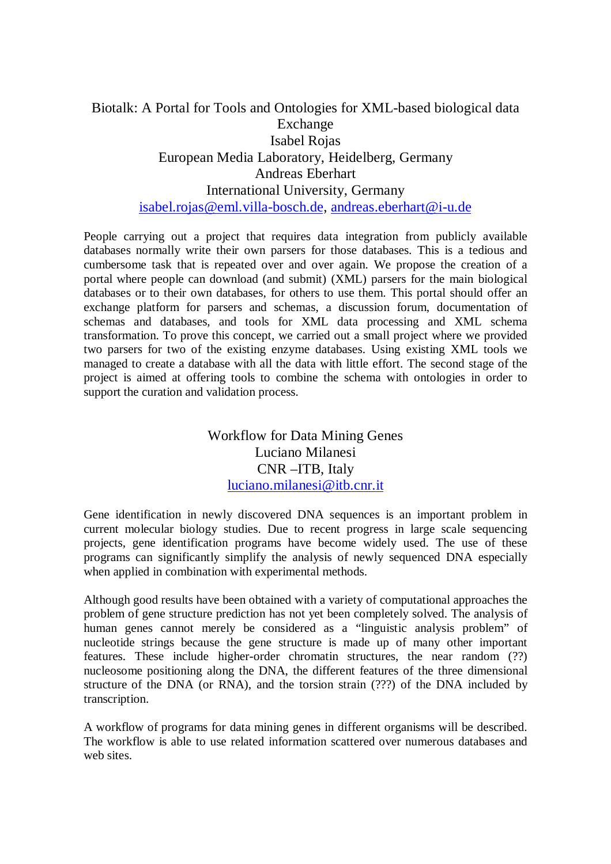# Biotalk: A Portal for Tools and Ontologies for XML-based biological data Exchange Isabel Rojas European Media Laboratory, Heidelberg, Germany Andreas Eberhart International University, Germany isabel.rojas@eml.villa-bosch.de, andreas.eberhart@i-u.de

People carrying out a project that requires data integration from publicly available databases normally write their own parsers for those databases. This is a tedious and cumbersome task that is repeated over and over again. We propose the creation of a portal where people can download (and submit) (XML) parsers for the main biological databases or to their own databases, for others to use them. This portal should offer an exchange platform for parsers and schemas, a discussion forum, documentation of schemas and databases, and tools for XML data processing and XML schema transformation. To prove this concept, we carried out a small project where we provided two parsers for two of the existing enzyme databases. Using existing XML tools we managed to create a database with all the data with little effort. The second stage of the project is aimed at offering tools to combine the schema with ontologies in order to support the curation and validation process.

> Workflow for Data Mining Genes Luciano Milanesi CNR –ITB, Italy luciano.milanesi@itb.cnr.it

Gene identification in newly discovered DNA sequences is an important problem in current molecular biology studies. Due to recent progress in large scale sequencing projects, gene identification programs have become widely used. The use of these programs can significantly simplify the analysis of newly sequenced DNA especially when applied in combination with experimental methods.

Although good results have been obtained with a variety of computational approaches the problem of gene structure prediction has not yet been completely solved. The analysis of human genes cannot merely be considered as a "linguistic analysis problem" of nucleotide strings because the gene structure is made up of many other important features. These include higher-order chromatin structures, the near random (??) nucleosome positioning along the DNA, the different features of the three dimensional structure of the DNA (or RNA), and the torsion strain (???) of the DNA included by transcription.

A workflow of programs for data mining genes in different organisms will be described. The workflow is able to use related information scattered over numerous databases and web sites.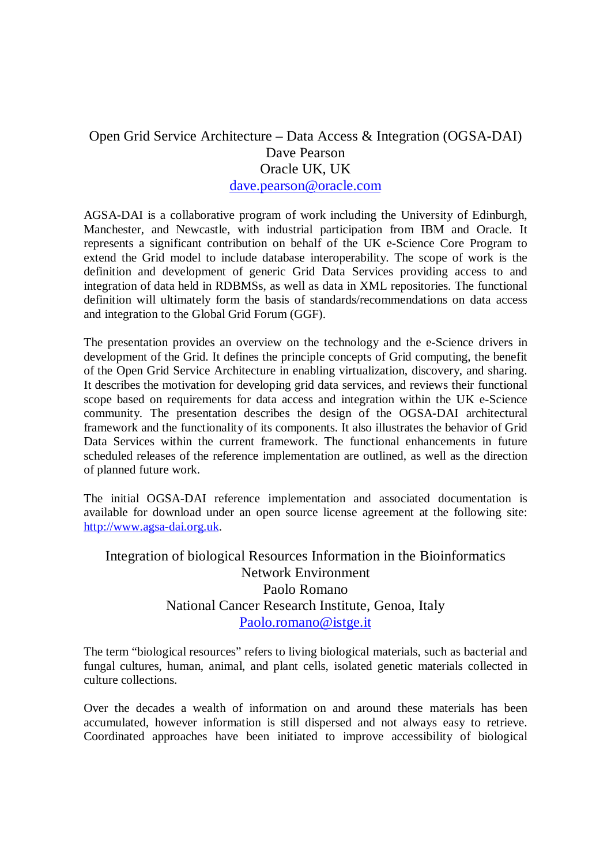# Open Grid Service Architecture – Data Access & Integration (OGSA-DAI) Dave Pearson Oracle UK, UK dave.pearson@oracle.com

AGSA-DAI is a collaborative program of work including the University of Edinburgh, Manchester, and Newcastle, with industrial participation from IBM and Oracle. It represents a significant contribution on behalf of the UK e-Science Core Program to extend the Grid model to include database interoperability. The scope of work is the definition and development of generic Grid Data Services providing access to and integration of data held in RDBMSs, as well as data in XML repositories. The functional definition will ultimately form the basis of standards/recommendations on data access and integration to the Global Grid Forum (GGF).

The presentation provides an overview on the technology and the e-Science drivers in development of the Grid. It defines the principle concepts of Grid computing, the benefit of the Open Grid Service Architecture in enabling virtualization, discovery, and sharing. It describes the motivation for developing grid data services, and reviews their functional scope based on requirements for data access and integration within the UK e-Science community. The presentation describes the design of the OGSA-DAI architectural framework and the functionality of its components. It also illustrates the behavior of Grid Data Services within the current framework. The functional enhancements in future scheduled releases of the reference implementation are outlined, as well as the direction of planned future work.

The initial OGSA-DAI reference implementation and associated documentation is available for download under an open source license agreement at the following site: http://www.agsa-dai.org.uk.

## Integration of biological Resources Information in the Bioinformatics Network Environment Paolo Romano National Cancer Research Institute, Genoa, Italy Paolo.romano@istge.it

The term "biological resources" refers to living biological materials, such as bacterial and fungal cultures, human, animal, and plant cells, isolated genetic materials collected in culture collections.

Over the decades a wealth of information on and around these materials has been accumulated, however information is still dispersed and not always easy to retrieve. Coordinated approaches have been initiated to improve accessibility of biological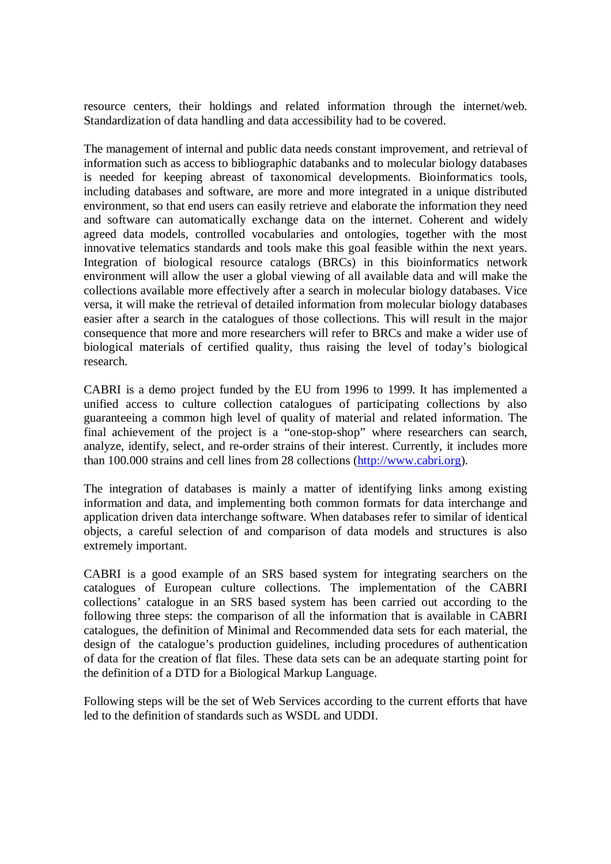resource centers, their holdings and related information through the internet/web. Standardization of data handling and data accessibility had to be covered.

The management of internal and public data needs constant improvement, and retrieval of information such as access to bibliographic databanks and to molecular biology databases is needed for keeping abreast of taxonomical developments. Bioinformatics tools, including databases and software, are more and more integrated in a unique distributed environment, so that end users can easily retrieve and elaborate the information they need and software can automatically exchange data on the internet. Coherent and widely agreed data models, controlled vocabularies and ontologies, together with the most innovative telematics standards and tools make this goal feasible within the next years. Integration of biological resource catalogs (BRCs) in this bioinformatics network environment will allow the user a global viewing of all available data and will make the collections available more effectively after a search in molecular biology databases. Vice versa, it will make the retrieval of detailed information from molecular biology databases easier after a search in the catalogues of those collections. This will result in the major consequence that more and more researchers will refer to BRCs and make a wider use of biological materials of certified quality, thus raising the level of today's biological research.

CABRI is a demo project funded by the EU from 1996 to 1999. It has implemented a unified access to culture collection catalogues of participating collections by also guaranteeing a common high level of quality of material and related information. The final achievement of the project is a "one-stop-shop" where researchers can search, analyze, identify, select, and re-order strains of their interest. Currently, it includes more than 100.000 strains and cell lines from 28 collections (http://www.cabri.org).

The integration of databases is mainly a matter of identifying links among existing information and data, and implementing both common formats for data interchange and application driven data interchange software. When databases refer to similar of identical objects, a careful selection of and comparison of data models and structures is also extremely important.

CABRI is a good example of an SRS based system for integrating searchers on the catalogues of European culture collections. The implementation of the CABRI collections' catalogue in an SRS based system has been carried out according to the following three steps: the comparison of all the information that is available in CABRI catalogues, the definition of Minimal and Recommended data sets for each material, the design of the catalogue's production guidelines, including procedures of authentication of data for the creation of flat files. These data sets can be an adequate starting point for the definition of a DTD for a Biological Markup Language.

Following steps will be the set of Web Services according to the current efforts that have led to the definition of standards such as WSDL and UDDI.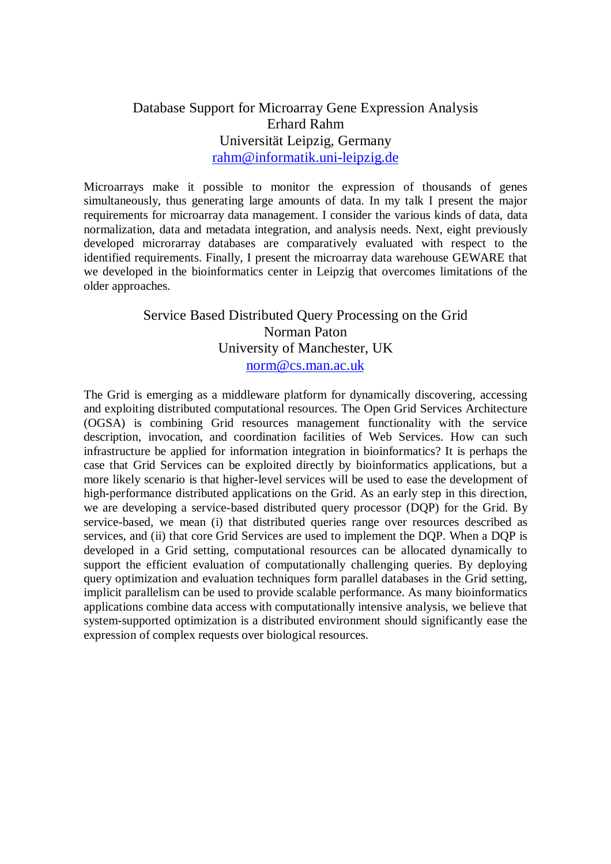## Database Support for Microarray Gene Expression Analysis Erhard Rahm Universität Leipzig, Germany rahm@informatik.uni-leipzig.de

Microarrays make it possible to monitor the expression of thousands of genes simultaneously, thus generating large amounts of data. In my talk I present the major requirements for microarray data management. I consider the various kinds of data, data normalization, data and metadata integration, and analysis needs. Next, eight previously developed microrarray databases are comparatively evaluated with respect to the identified requirements. Finally, I present the microarray data warehouse GEWARE that we developed in the bioinformatics center in Leipzig that overcomes limitations of the older approaches.

# Service Based Distributed Query Processing on the Grid Norman Paton University of Manchester, UK norm@cs.man.ac.uk

The Grid is emerging as a middleware platform for dynamically discovering, accessing and exploiting distributed computational resources. The Open Grid Services Architecture (OGSA) is combining Grid resources management functionality with the service description, invocation, and coordination facilities of Web Services. How can such infrastructure be applied for information integration in bioinformatics? It is perhaps the case that Grid Services can be exploited directly by bioinformatics applications, but a more likely scenario is that higher-level services will be used to ease the development of high-performance distributed applications on the Grid. As an early step in this direction, we are developing a service-based distributed query processor (DQP) for the Grid. By service-based, we mean (i) that distributed queries range over resources described as services, and (ii) that core Grid Services are used to implement the DQP. When a DQP is developed in a Grid setting, computational resources can be allocated dynamically to support the efficient evaluation of computationally challenging queries. By deploying query optimization and evaluation techniques form parallel databases in the Grid setting, implicit parallelism can be used to provide scalable performance. As many bioinformatics applications combine data access with computationally intensive analysis, we believe that system-supported optimization is a distributed environment should significantly ease the expression of complex requests over biological resources.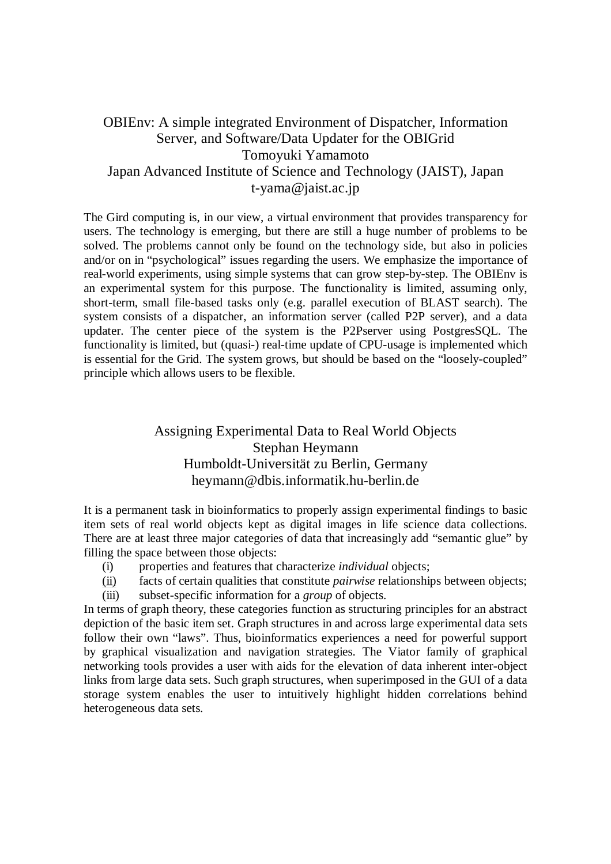# OBIEnv: A simple integrated Environment of Dispatcher, Information Server, and Software/Data Updater for the OBIGrid Tomoyuki Yamamoto Japan Advanced Institute of Science and Technology (JAIST), Japan t-yama@jaist.ac.jp

The Gird computing is, in our view, a virtual environment that provides transparency for users. The technology is emerging, but there are still a huge number of problems to be solved. The problems cannot only be found on the technology side, but also in policies and/or on in "psychological" issues regarding the users. We emphasize the importance of real-world experiments, using simple systems that can grow step-by-step. The OBIEnv is an experimental system for this purpose. The functionality is limited, assuming only, short-term, small file-based tasks only (e.g. parallel execution of BLAST search). The system consists of a dispatcher, an information server (called P2P server), and a data updater. The center piece of the system is the P2Pserver using PostgresSQL. The functionality is limited, but (quasi-) real-time update of CPU-usage is implemented which is essential for the Grid. The system grows, but should be based on the "loosely-coupled" principle which allows users to be flexible.

# Assigning Experimental Data to Real World Objects Stephan Heymann Humboldt-Universität zu Berlin, Germany heymann@dbis.informatik.hu-berlin.de

It is a permanent task in bioinformatics to properly assign experimental findings to basic item sets of real world objects kept as digital images in life science data collections. There are at least three major categories of data that increasingly add "semantic glue" by filling the space between those objects:

- (i) properties and features that characterize *individual* objects;
- (ii) facts of certain qualities that constitute *pairwise* relationships between objects; (iii) subset-specific information for a *group* of objects.

In terms of graph theory, these categories function as structuring principles for an abstract depiction of the basic item set. Graph structures in and across large experimental data sets follow their own "laws". Thus, bioinformatics experiences a need for powerful support by graphical visualization and navigation strategies. The Viator family of graphical networking tools provides a user with aids for the elevation of data inherent inter-object links from large data sets. Such graph structures, when superimposed in the GUI of a data storage system enables the user to intuitively highlight hidden correlations behind heterogeneous data sets.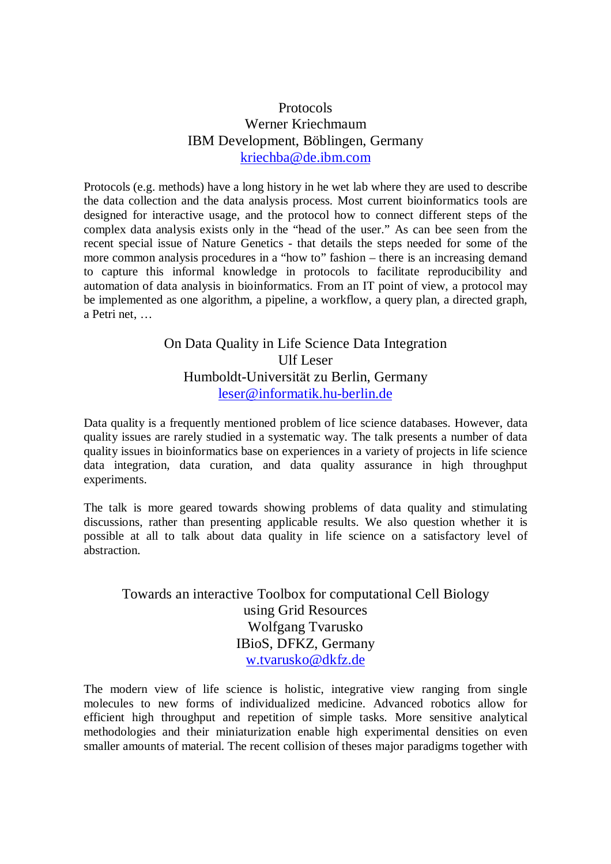### Protocols Werner Kriechmaum IBM Development, Böblingen, Germany kriechba@de.ibm.com

Protocols (e.g. methods) have a long history in he wet lab where they are used to describe the data collection and the data analysis process. Most current bioinformatics tools are designed for interactive usage, and the protocol how to connect different steps of the complex data analysis exists only in the "head of the user." As can bee seen from the recent special issue of Nature Genetics - that details the steps needed for some of the more common analysis procedures in a "how to" fashion – there is an increasing demand to capture this informal knowledge in protocols to facilitate reproducibility and automation of data analysis in bioinformatics. From an IT point of view, a protocol may be implemented as one algorithm, a pipeline, a workflow, a query plan, a directed graph, a Petri net, …

## On Data Quality in Life Science Data Integration Ulf Leser Humboldt-Universität zu Berlin, Germany leser@informatik.hu-berlin.de

Data quality is a frequently mentioned problem of lice science databases. However, data quality issues are rarely studied in a systematic way. The talk presents a number of data quality issues in bioinformatics base on experiences in a variety of projects in life science data integration, data curation, and data quality assurance in high throughput experiments.

The talk is more geared towards showing problems of data quality and stimulating discussions, rather than presenting applicable results. We also question whether it is possible at all to talk about data quality in life science on a satisfactory level of abstraction.

# Towards an interactive Toolbox for computational Cell Biology using Grid Resources Wolfgang Tvarusko IBioS, DFKZ, Germany w.tvarusko@dkfz.de

The modern view of life science is holistic, integrative view ranging from single molecules to new forms of individualized medicine. Advanced robotics allow for efficient high throughput and repetition of simple tasks. More sensitive analytical methodologies and their miniaturization enable high experimental densities on even smaller amounts of material. The recent collision of theses major paradigms together with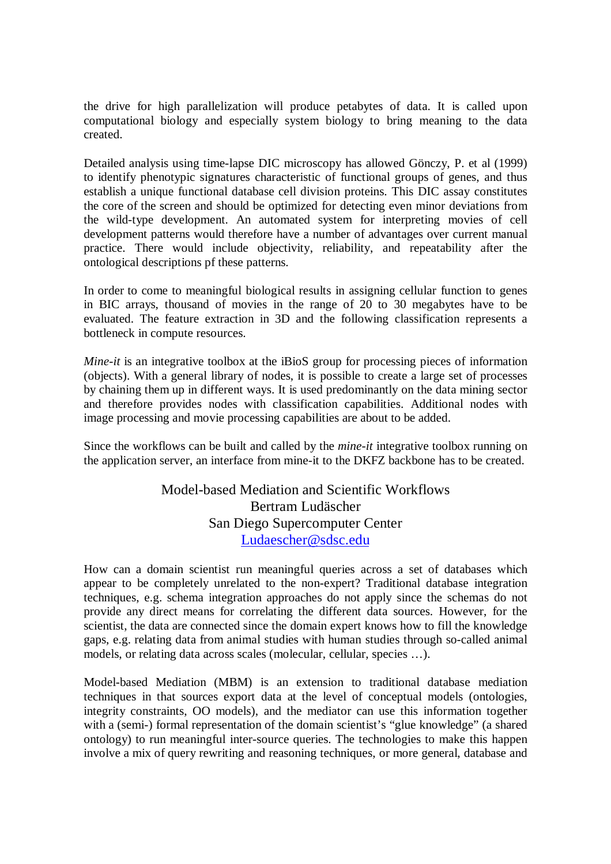the drive for high parallelization will produce petabytes of data. It is called upon computational biology and especially system biology to bring meaning to the data created.

Detailed analysis using time-lapse DIC microscopy has allowed Gönczy, P. et al (1999) to identify phenotypic signatures characteristic of functional groups of genes, and thus establish a unique functional database cell division proteins. This DIC assay constitutes the core of the screen and should be optimized for detecting even minor deviations from the wild-type development. An automated system for interpreting movies of cell development patterns would therefore have a number of advantages over current manual practice. There would include objectivity, reliability, and repeatability after the ontological descriptions pf these patterns.

In order to come to meaningful biological results in assigning cellular function to genes in BIC arrays, thousand of movies in the range of 20 to 30 megabytes have to be evaluated. The feature extraction in 3D and the following classification represents a bottleneck in compute resources.

*Mine-it* is an integrative toolbox at the iBioS group for processing pieces of information (objects). With a general library of nodes, it is possible to create a large set of processes by chaining them up in different ways. It is used predominantly on the data mining sector and therefore provides nodes with classification capabilities. Additional nodes with image processing and movie processing capabilities are about to be added.

Since the workflows can be built and called by the *mine-it* integrative toolbox running on the application server, an interface from mine-it to the DKFZ backbone has to be created.

#### Model-based Mediation and Scientific Workflows Bertram Ludäscher San Diego Supercomputer Center Ludaescher@sdsc.edu

How can a domain scientist run meaningful queries across a set of databases which appear to be completely unrelated to the non-expert? Traditional database integration techniques, e.g. schema integration approaches do not apply since the schemas do not provide any direct means for correlating the different data sources. However, for the scientist, the data are connected since the domain expert knows how to fill the knowledge gaps, e.g. relating data from animal studies with human studies through so-called animal models, or relating data across scales (molecular, cellular, species …).

Model-based Mediation (MBM) is an extension to traditional database mediation techniques in that sources export data at the level of conceptual models (ontologies, integrity constraints, OO models), and the mediator can use this information together with a (semi-) formal representation of the domain scientist's "glue knowledge" (a shared ontology) to run meaningful inter-source queries. The technologies to make this happen involve a mix of query rewriting and reasoning techniques, or more general, database and